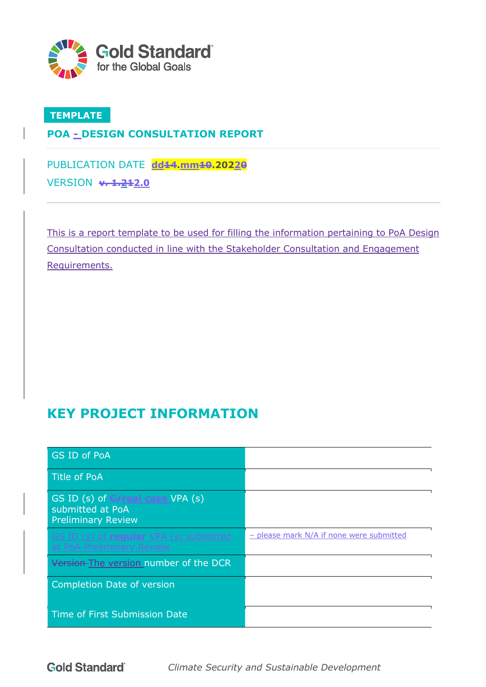

### **TEMPLATE**

### **POA - DESIGN CONSULTATION REPORT**

PUBLICATION DATE dd44.mm<del>10</del>.20220 VERSION **v. 1.212.0**

This is a report template to be used for filling the information pertaining to PoA Design Consultation conducted in line with the Stakeholder Consultation and Engagement Requirements.

# **KEY PROJECT INFORMATION**

| <b>GS ID of PoA</b>                                                                |                                          |
|------------------------------------------------------------------------------------|------------------------------------------|
| <b>Title of PoA</b>                                                                |                                          |
| GS ID (s) of G-Freal case VPA (s)<br>submitted at PoA<br><b>Preliminary Review</b> |                                          |
| GS ID (s) of regular VPA (s) submitted<br>at PoA Preliminary Review                | - please mark N/A if none were submitted |
| Version-The version number of the DCR                                              |                                          |
| <b>Completion Date of version</b>                                                  |                                          |
| Time of First Submission Date                                                      |                                          |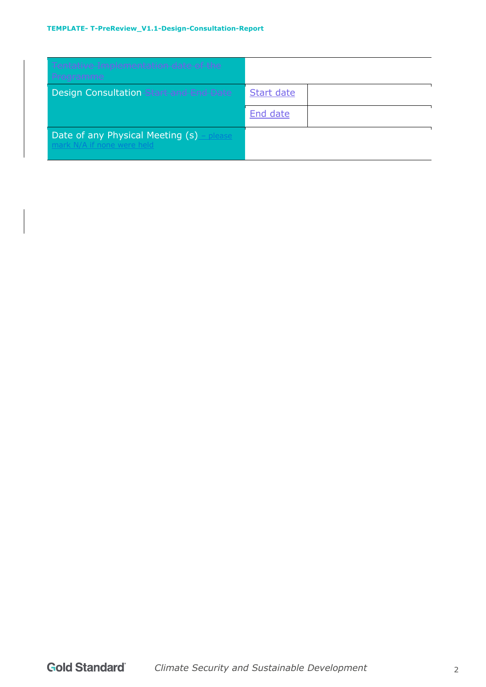#### **TEMPLATE- T-PreReview\_V1.1-Design-Consultation-Report**

| Tentative Implementation date of the<br>Programme <sup>®</sup>          |            |  |
|-------------------------------------------------------------------------|------------|--|
| <b>Design Consultation Start and End Date</b>                           | Start date |  |
|                                                                         | End date   |  |
| Date of any Physical Meeting (s) - please<br>mark N/A if none were held |            |  |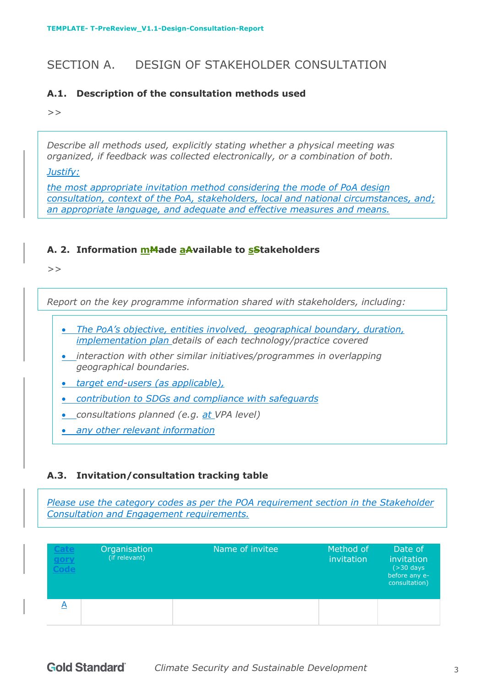# SECTION A. DESIGN OF STAKEHOLDER CONSULTATION

#### **A.1. Description of the consultation methods used**

*>>*

*Describe all methods used, explicitly stating whether a physical meeting was organized, if feedback was collected electronically, or a combination of both.*

*Justify:*

*the most appropriate invitation method considering the mode of PoA design consultation, context of the PoA, stakeholders, local and national circumstances, and; an appropriate language, and adequate and effective measures and means.*

#### A. 2. Information **m<sub>M</sub>**ade a Available to stakeholders

*>>* 

*Report on the key programme information shared with stakeholders, including:* 

- *The PoA's objective, entities involved, geographical boundary, duration, implementation plan details of each technology/practice covered*
- *interaction with other similar initiatives/programmes in overlapping geographical boundaries.*

• *target end-users (as applicable),*

• *contribution to SDGs and compliance with safeguards*

• *consultations planned (e.g. at VPA level)*

• *any other relevant information*

#### **A.3. Invitation/consultation tracking table**

*Please use the category codes as per the POA requirement section in the Stakeholder Consultation and Engagement requirements.* 

| Cate<br><u>gory</u><br>ode | Organisation<br>(if relevant) | Name of invitee | Method of<br>invitation | Date of<br>invitation<br>$($ >30 days<br>before any e-<br>consultation) |
|----------------------------|-------------------------------|-----------------|-------------------------|-------------------------------------------------------------------------|
|                            |                               |                 |                         |                                                                         |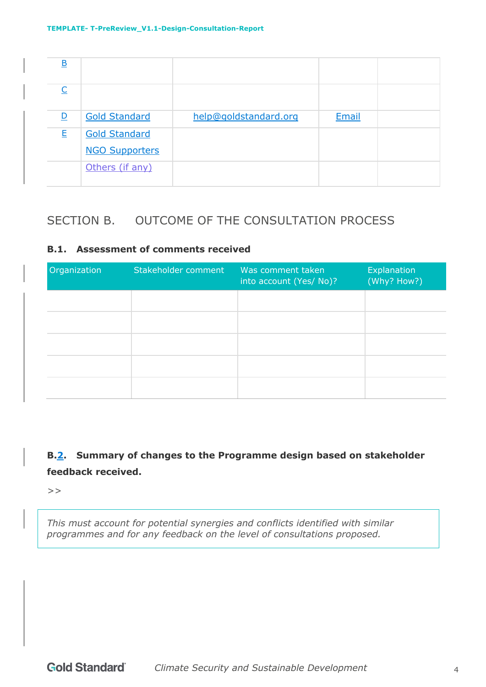| $\underline{\mathsf{B}}$ |                       |                       |       |  |
|--------------------------|-----------------------|-----------------------|-------|--|
|                          |                       |                       |       |  |
| $\overline{\mathsf{D}}$  | <b>Gold Standard</b>  | help@goldstandard.org | Email |  |
| E                        | <b>Gold Standard</b>  |                       |       |  |
|                          | <b>NGO Supporters</b> |                       |       |  |
|                          | Others (if any)       |                       |       |  |

# SECTION B. OUTCOME OF THE CONSULTATION PROCESS

#### **B.1. Assessment of comments received**

| Organization | Stakeholder comment | Was comment taken<br>into account (Yes/ No)? | Explanation<br>(Why? How?) |
|--------------|---------------------|----------------------------------------------|----------------------------|
|              |                     |                                              |                            |
|              |                     |                                              |                            |
|              |                     |                                              |                            |
|              |                     |                                              |                            |
|              |                     |                                              |                            |

## **B.2. Summary of changes to the Programme design based on stakeholder feedback received.**

*>>* 

*This must account for potential synergies and conflicts identified with similar programmes and for any feedback on the level of consultations proposed.*